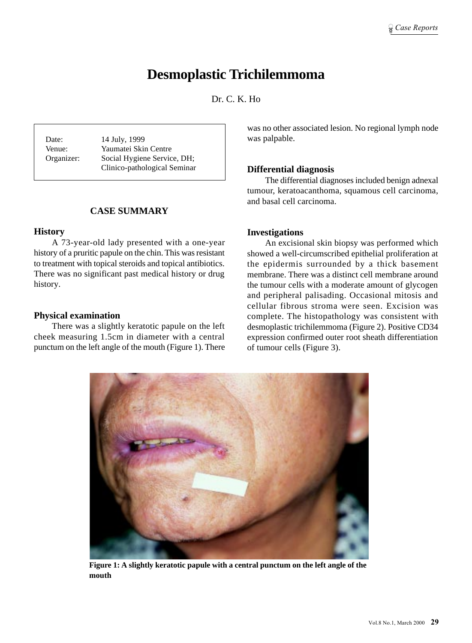# **Desmoplastic Trichilemmoma**

Dr. C. K. Ho

Date: 14 July, 1999 Venue: Yaumatei Skin Centre Organizer: Social Hygiene Service, DH; Clinico-pathological Seminar

# **CASE SUMMARY**

## **History**

A 73-year-old lady presented with a one-year history of a pruritic papule on the chin. This was resistant to treatment with topical steroids and topical antibiotics. There was no significant past medical history or drug history.

## **Physical examination**

There was a slightly keratotic papule on the left cheek measuring 1.5cm in diameter with a central punctum on the left angle of the mouth (Figure 1). There was no other associated lesion. No regional lymph node was palpable.

## **Differential diagnosis**

The differential diagnoses included benign adnexal tumour, keratoacanthoma, squamous cell carcinoma, and basal cell carcinoma.

## **Investigations**

An excisional skin biopsy was performed which showed a well-circumscribed epithelial proliferation at the epidermis surrounded by a thick basement membrane. There was a distinct cell membrane around the tumour cells with a moderate amount of glycogen and peripheral palisading. Occasional mitosis and cellular fibrous stroma were seen. Excision was complete. The histopathology was consistent with desmoplastic trichilemmoma (Figure 2). Positive CD34 expression confirmed outer root sheath differentiation of tumour cells (Figure 3).



**Figure 1: A slightly keratotic papule with a central punctum on the left angle of the mouth**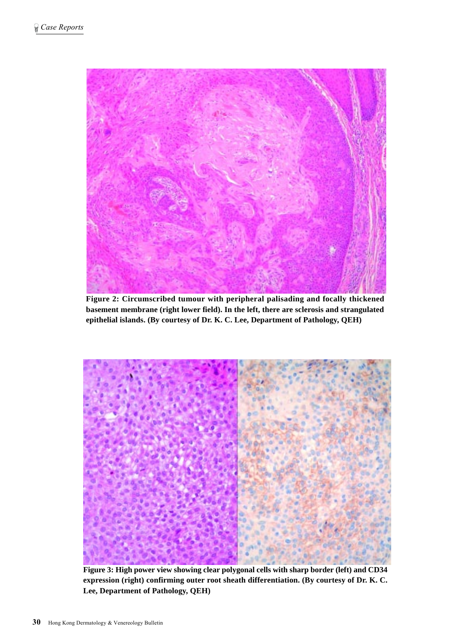

**Figure 2: Circumscribed tumour with peripheral palisading and focally thickened basement membrane (right lower field). In the left, there are sclerosis and strangulated epithelial islands. (By courtesy of Dr. K. C. Lee, Department of Pathology, QEH)**



**Figure 3: High power view showing clear polygonal cells with sharp border (left) and CD34 expression (right) confirming outer root sheath differentiation. (By courtesy of Dr. K. C. Lee, Department of Pathology, QEH)**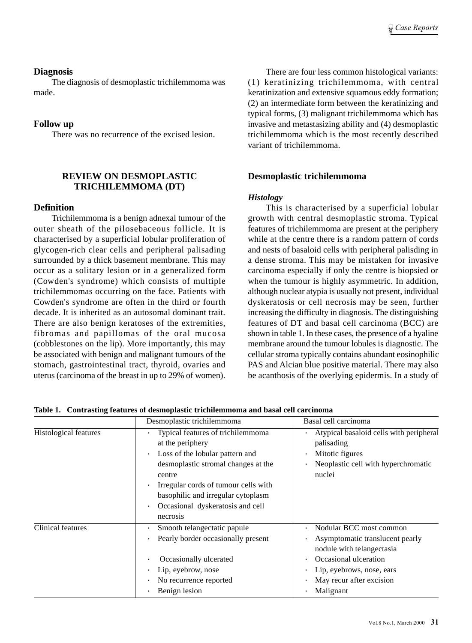## **Diagnosis**

The diagnosis of desmoplastic trichilemmoma was made.

# **Follow up**

There was no recurrence of the excised lesion.

# **REVIEW ON DESMOPLASTIC TRICHILEMMOMA (DT)**

# **Definition**

Trichilemmoma is a benign adnexal tumour of the outer sheath of the pilosebaceous follicle. It is characterised by a superficial lobular proliferation of glycogen-rich clear cells and peripheral palisading surrounded by a thick basement membrane. This may occur as a solitary lesion or in a generalized form (Cowden's syndrome) which consists of multiple trichilemmomas occurring on the face. Patients with Cowden's syndrome are often in the third or fourth decade. It is inherited as an autosomal dominant trait. There are also benign keratoses of the extremities, fibromas and papillomas of the oral mucosa (cobblestones on the lip). More importantly, this may be associated with benign and malignant tumours of the stomach, gastrointestinal tract, thyroid, ovaries and uterus (carcinoma of the breast in up to 29% of women).

There are four less common histological variants: (1) keratinizing trichilemmoma, with central keratinization and extensive squamous eddy formation; (2) an intermediate form between the keratinizing and typical forms, (3) malignant trichilemmoma which has invasive and metastasizing ability and (4) desmoplastic trichilemmoma which is the most recently described variant of trichilemmoma.

# **Desmoplastic trichilemmoma**

#### *Histology*

This is characterised by a superficial lobular growth with central desmoplastic stroma. Typical features of trichilemmoma are present at the periphery while at the centre there is a random pattern of cords and nests of basaloid cells with peripheral palisding in a dense stroma. This may be mistaken for invasive carcinoma especially if only the centre is biopsied or when the tumour is highly asymmetric. In addition, although nuclear atypia is usually not present, individual dyskeratosis or cell necrosis may be seen, further increasing the difficulty in diagnosis. The distinguishing features of DT and basal cell carcinoma (BCC) are shown in table 1. In these cases, the presence of a hyaline membrane around the tumour lobules is diagnostic. The cellular stroma typically contains abundant eosinophilic PAS and Alcian blue positive material. There may also be acanthosis of the overlying epidermis. In a study of

|                              | Desmoplastic trichilemmoma                                                                                                                                                                                                                                                                        | Basal cell carcinoma                                                                                                                                                                   |
|------------------------------|---------------------------------------------------------------------------------------------------------------------------------------------------------------------------------------------------------------------------------------------------------------------------------------------------|----------------------------------------------------------------------------------------------------------------------------------------------------------------------------------------|
| <b>Histological features</b> | Typical features of trichilemmoma<br>at the periphery<br>Loss of the lobular pattern and<br>$\bullet$<br>desmoplastic stromal changes at the<br>centre<br>Irregular cords of tumour cells with<br>$\bullet$<br>basophilic and irregular cytoplasm<br>Occasional dyskeratosis and cell<br>necrosis | Atypical basaloid cells with peripheral<br>palisading<br>Mitotic figures<br>Neoplastic cell with hyperchromatic<br>nuclei                                                              |
| <b>Clinical features</b>     | Smooth telangectatic papule<br>Pearly border occasionally present<br>Occasionally ulcerated<br>Lip, eyebrow, nose<br>No recurrence reported<br>$\bullet$<br>Benign lesion                                                                                                                         | Nodular BCC most common<br>Asymptomatic translucent pearly<br>nodule with telangectasia<br>Occasional ulceration<br>Lip, eyebrows, nose, ears<br>May recur after excision<br>Malignant |

**Table 1. Contrasting features of desmoplastic trichilemmoma and basal cell carcinoma**